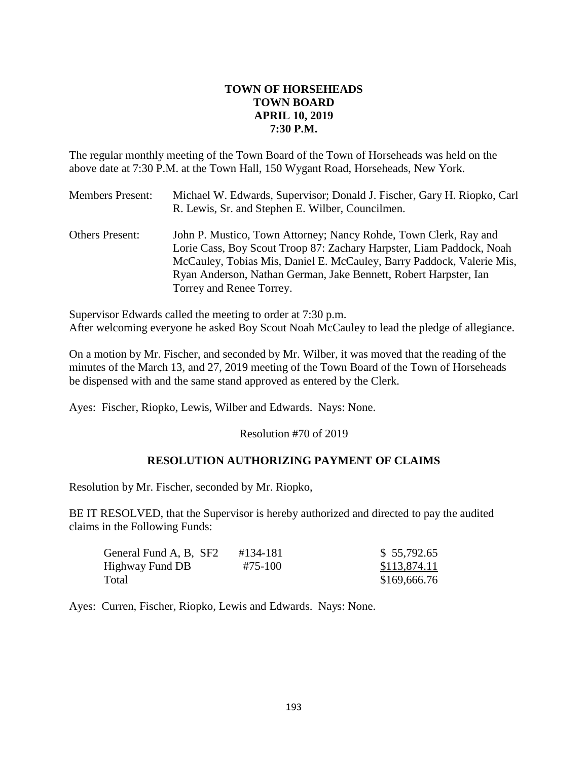# **TOWN OF HORSEHEADS TOWN BOARD APRIL 10, 2019 7:30 P.M.**

The regular monthly meeting of the Town Board of the Town of Horseheads was held on the above date at 7:30 P.M. at the Town Hall, 150 Wygant Road, Horseheads, New York.

| <b>Members Present:</b> | Michael W. Edwards, Supervisor; Donald J. Fischer, Gary H. Riopko, Carl |
|-------------------------|-------------------------------------------------------------------------|
|                         | R. Lewis, Sr. and Stephen E. Wilber, Councilmen.                        |

Others Present: John P. Mustico, Town Attorney; Nancy Rohde, Town Clerk, Ray and Lorie Cass, Boy Scout Troop 87: Zachary Harpster, Liam Paddock, Noah McCauley, Tobias Mis, Daniel E. McCauley, Barry Paddock, Valerie Mis, Ryan Anderson, Nathan German, Jake Bennett, Robert Harpster, Ian Torrey and Renee Torrey.

Supervisor Edwards called the meeting to order at 7:30 p.m. After welcoming everyone he asked Boy Scout Noah McCauley to lead the pledge of allegiance.

On a motion by Mr. Fischer, and seconded by Mr. Wilber, it was moved that the reading of the minutes of the March 13, and 27, 2019 meeting of the Town Board of the Town of Horseheads be dispensed with and the same stand approved as entered by the Clerk.

Ayes: Fischer, Riopko, Lewis, Wilber and Edwards. Nays: None.

Resolution #70 of 2019

# **RESOLUTION AUTHORIZING PAYMENT OF CLAIMS**

Resolution by Mr. Fischer, seconded by Mr. Riopko,

BE IT RESOLVED, that the Supervisor is hereby authorized and directed to pay the audited claims in the Following Funds:

| General Fund A, B, SF2 | #134-181 | \$55,792.65  |
|------------------------|----------|--------------|
| Highway Fund DB        | #75-100  | \$113,874.11 |
| Total                  |          | \$169,666.76 |

Ayes: Curren, Fischer, Riopko, Lewis and Edwards. Nays: None.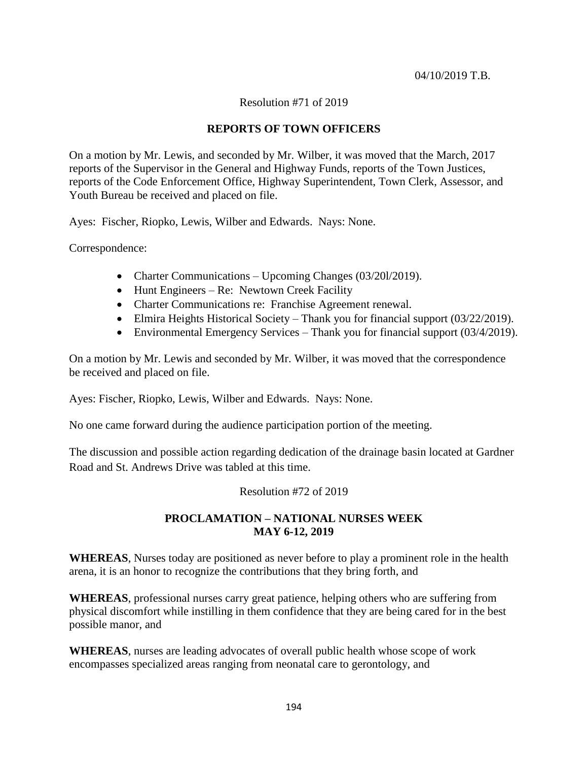## 04/10/2019 T.B.

# Resolution #71 of 2019

# **REPORTS OF TOWN OFFICERS**

On a motion by Mr. Lewis, and seconded by Mr. Wilber, it was moved that the March, 2017 reports of the Supervisor in the General and Highway Funds, reports of the Town Justices, reports of the Code Enforcement Office, Highway Superintendent, Town Clerk, Assessor, and Youth Bureau be received and placed on file.

Ayes: Fischer, Riopko, Lewis, Wilber and Edwards. Nays: None.

Correspondence:

- Charter Communications Upcoming Changes (03/201/2019).
- $\bullet$  Hunt Engineers Re: Newtown Creek Facility
- Charter Communications re: Franchise Agreement renewal.
- Elmira Heights Historical Society Thank you for financial support (03/22/2019).
- Environmental Emergency Services Thank you for financial support (03/4/2019).

On a motion by Mr. Lewis and seconded by Mr. Wilber, it was moved that the correspondence be received and placed on file.

Ayes: Fischer, Riopko, Lewis, Wilber and Edwards. Nays: None.

No one came forward during the audience participation portion of the meeting.

The discussion and possible action regarding dedication of the drainage basin located at Gardner Road and St. Andrews Drive was tabled at this time.

#### Resolution #72 of 2019

# **PROCLAMATION – NATIONAL NURSES WEEK MAY 6-12, 2019**

**WHEREAS**, Nurses today are positioned as never before to play a prominent role in the health arena, it is an honor to recognize the contributions that they bring forth, and

**WHEREAS**, professional nurses carry great patience, helping others who are suffering from physical discomfort while instilling in them confidence that they are being cared for in the best possible manor, and

**WHEREAS**, nurses are leading advocates of overall public health whose scope of work encompasses specialized areas ranging from neonatal care to gerontology, and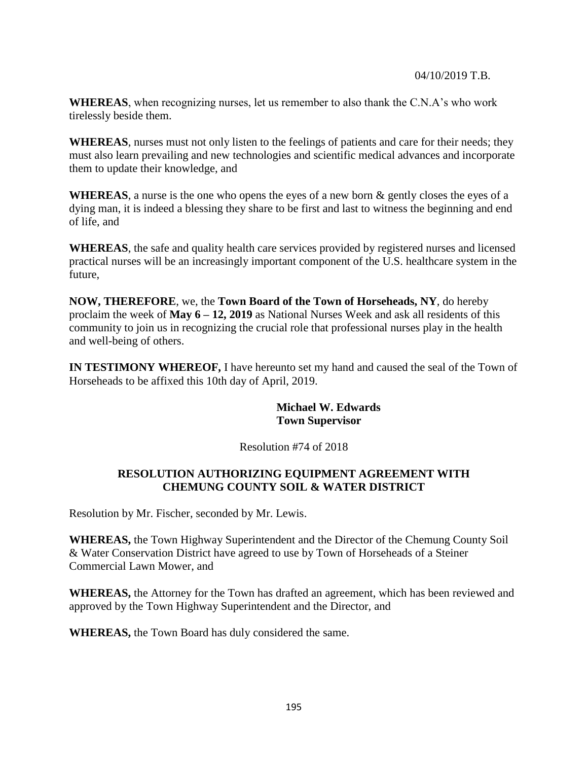#### 04/10/2019 T.B.

**WHEREAS**, when recognizing nurses, let us remember to also thank the C.N.A's who work tirelessly beside them.

**WHEREAS**, nurses must not only listen to the feelings of patients and care for their needs; they must also learn prevailing and new technologies and scientific medical advances and incorporate them to update their knowledge, and

**WHEREAS**, a nurse is the one who opens the eyes of a new born & gently closes the eyes of a dying man, it is indeed a blessing they share to be first and last to witness the beginning and end of life, and

**WHEREAS**, the safe and quality health care services provided by registered nurses and licensed practical nurses will be an increasingly important component of the U.S. healthcare system in the future,

**NOW, THEREFORE**, we, the **Town Board of the Town of Horseheads, NY**, do hereby proclaim the week of **May 6 – 12, 2019** as National Nurses Week and ask all residents of this community to join us in recognizing the crucial role that professional nurses play in the health and well-being of others.

**IN TESTIMONY WHEREOF, I** have hereunto set my hand and caused the seal of the Town of Horseheads to be affixed this 10th day of April, 2019.

> **Michael W. Edwards Town Supervisor**

# Resolution #74 of 2018

# **RESOLUTION AUTHORIZING EQUIPMENT AGREEMENT WITH CHEMUNG COUNTY SOIL & WATER DISTRICT**

Resolution by Mr. Fischer, seconded by Mr. Lewis.

**WHEREAS,** the Town Highway Superintendent and the Director of the Chemung County Soil & Water Conservation District have agreed to use by Town of Horseheads of a Steiner Commercial Lawn Mower, and

**WHEREAS,** the Attorney for the Town has drafted an agreement, which has been reviewed and approved by the Town Highway Superintendent and the Director, and

**WHEREAS,** the Town Board has duly considered the same.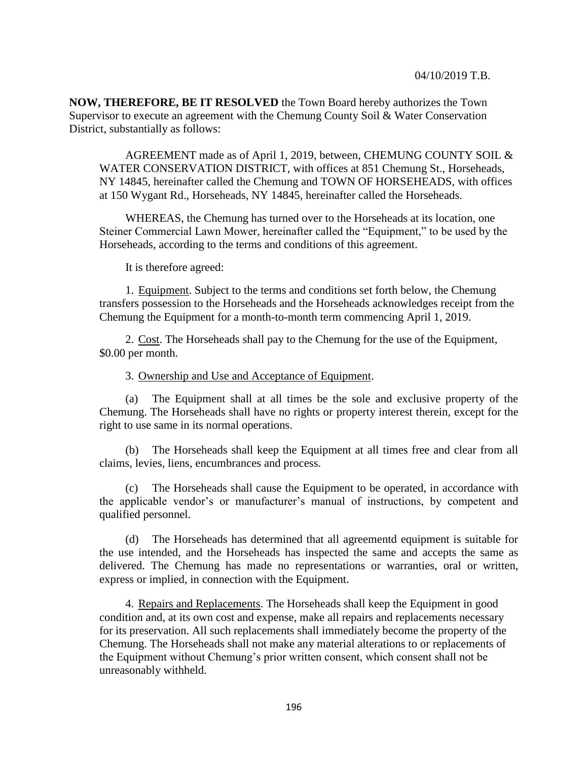**NOW, THEREFORE, BE IT RESOLVED** the Town Board hereby authorizes the Town Supervisor to execute an agreement with the Chemung County Soil & Water Conservation District, substantially as follows:

AGREEMENT made as of April 1, 2019, between, CHEMUNG COUNTY SOIL & WATER CONSERVATION DISTRICT, with offices at 851 Chemung St., Horseheads, NY 14845, hereinafter called the Chemung and TOWN OF HORSEHEADS, with offices at 150 Wygant Rd., Horseheads, NY 14845, hereinafter called the Horseheads.

WHEREAS, the Chemung has turned over to the Horseheads at its location, one Steiner Commercial Lawn Mower, hereinafter called the "Equipment," to be used by the Horseheads, according to the terms and conditions of this agreement.

It is therefore agreed:

1. Equipment. Subject to the terms and conditions set forth below, the Chemung transfers possession to the Horseheads and the Horseheads acknowledges receipt from the Chemung the Equipment for a month-to-month term commencing April 1, 2019.

2. Cost. The Horseheads shall pay to the Chemung for the use of the Equipment, \$0.00 per month.

3. Ownership and Use and Acceptance of Equipment.

(a) The Equipment shall at all times be the sole and exclusive property of the Chemung. The Horseheads shall have no rights or property interest therein, except for the right to use same in its normal operations.

(b) The Horseheads shall keep the Equipment at all times free and clear from all claims, levies, liens, encumbrances and process.

(c) The Horseheads shall cause the Equipment to be operated, in accordance with the applicable vendor's or manufacturer's manual of instructions, by competent and qualified personnel.

(d) The Horseheads has determined that all agreementd equipment is suitable for the use intended, and the Horseheads has inspected the same and accepts the same as delivered. The Chemung has made no representations or warranties, oral or written, express or implied, in connection with the Equipment.

4. Repairs and Replacements. The Horseheads shall keep the Equipment in good condition and, at its own cost and expense, make all repairs and replacements necessary for its preservation. All such replacements shall immediately become the property of the Chemung. The Horseheads shall not make any material alterations to or replacements of the Equipment without Chemung's prior written consent, which consent shall not be unreasonably withheld.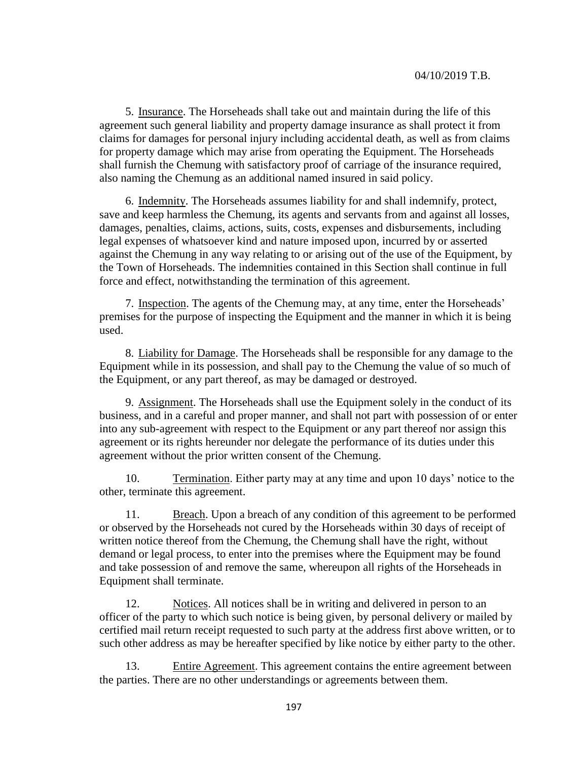5. Insurance. The Horseheads shall take out and maintain during the life of this agreement such general liability and property damage insurance as shall protect it from claims for damages for personal injury including accidental death, as well as from claims for property damage which may arise from operating the Equipment. The Horseheads shall furnish the Chemung with satisfactory proof of carriage of the insurance required, also naming the Chemung as an additional named insured in said policy.

6. Indemnity. The Horseheads assumes liability for and shall indemnify, protect, save and keep harmless the Chemung, its agents and servants from and against all losses, damages, penalties, claims, actions, suits, costs, expenses and disbursements, including legal expenses of whatsoever kind and nature imposed upon, incurred by or asserted against the Chemung in any way relating to or arising out of the use of the Equipment, by the Town of Horseheads. The indemnities contained in this Section shall continue in full force and effect, notwithstanding the termination of this agreement.

7. Inspection. The agents of the Chemung may, at any time, enter the Horseheads' premises for the purpose of inspecting the Equipment and the manner in which it is being used.

8. Liability for Damage. The Horseheads shall be responsible for any damage to the Equipment while in its possession, and shall pay to the Chemung the value of so much of the Equipment, or any part thereof, as may be damaged or destroyed.

9. Assignment. The Horseheads shall use the Equipment solely in the conduct of its business, and in a careful and proper manner, and shall not part with possession of or enter into any sub-agreement with respect to the Equipment or any part thereof nor assign this agreement or its rights hereunder nor delegate the performance of its duties under this agreement without the prior written consent of the Chemung.

10. Termination. Either party may at any time and upon 10 days' notice to the other, terminate this agreement.

11. Breach. Upon a breach of any condition of this agreement to be performed or observed by the Horseheads not cured by the Horseheads within 30 days of receipt of written notice thereof from the Chemung, the Chemung shall have the right, without demand or legal process, to enter into the premises where the Equipment may be found and take possession of and remove the same, whereupon all rights of the Horseheads in Equipment shall terminate.

12. Notices. All notices shall be in writing and delivered in person to an officer of the party to which such notice is being given, by personal delivery or mailed by certified mail return receipt requested to such party at the address first above written, or to such other address as may be hereafter specified by like notice by either party to the other.

13. Entire Agreement. This agreement contains the entire agreement between the parties. There are no other understandings or agreements between them.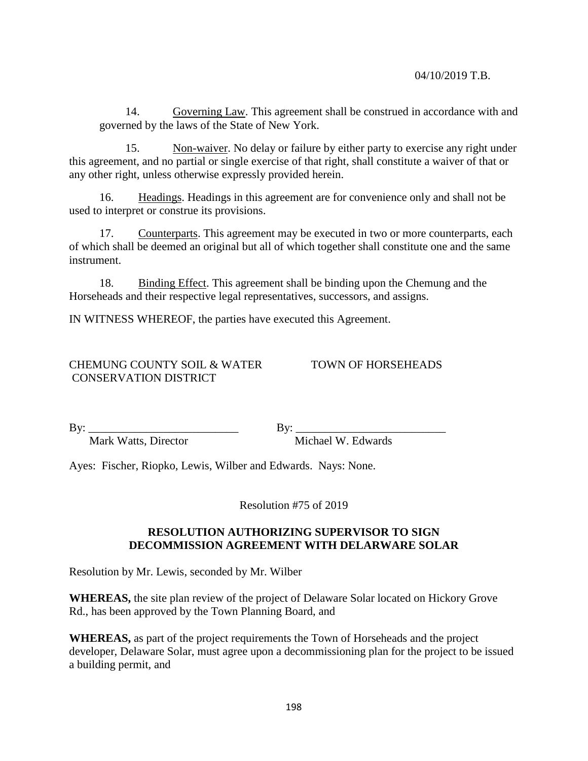14. Governing Law. This agreement shall be construed in accordance with and governed by the laws of the State of New York.

15. Non-waiver. No delay or failure by either party to exercise any right under this agreement, and no partial or single exercise of that right, shall constitute a waiver of that or any other right, unless otherwise expressly provided herein.

16. Headings. Headings in this agreement are for convenience only and shall not be used to interpret or construe its provisions.

17. Counterparts. This agreement may be executed in two or more counterparts, each of which shall be deemed an original but all of which together shall constitute one and the same instrument.

18. Binding Effect. This agreement shall be binding upon the Chemung and the Horseheads and their respective legal representatives, successors, and assigns.

IN WITNESS WHEREOF, the parties have executed this Agreement.

# CHEMUNG COUNTY SOIL & WATER TOWN OF HORSEHEADS CONSERVATION DISTRICT

By: \_\_\_\_\_\_\_\_\_\_\_\_\_\_\_\_\_\_\_\_\_\_\_\_\_\_ By: \_\_\_\_\_\_\_\_\_\_\_\_\_\_\_\_\_\_\_\_\_\_\_\_\_\_

Mark Watts, Director Michael W. Edwards

Ayes: Fischer, Riopko, Lewis, Wilber and Edwards. Nays: None.

Resolution #75 of 2019

# **RESOLUTION AUTHORIZING SUPERVISOR TO SIGN DECOMMISSION AGREEMENT WITH DELARWARE SOLAR**

Resolution by Mr. Lewis, seconded by Mr. Wilber

**WHEREAS,** the site plan review of the project of Delaware Solar located on Hickory Grove Rd., has been approved by the Town Planning Board, and

**WHEREAS,** as part of the project requirements the Town of Horseheads and the project developer, Delaware Solar, must agree upon a decommissioning plan for the project to be issued a building permit, and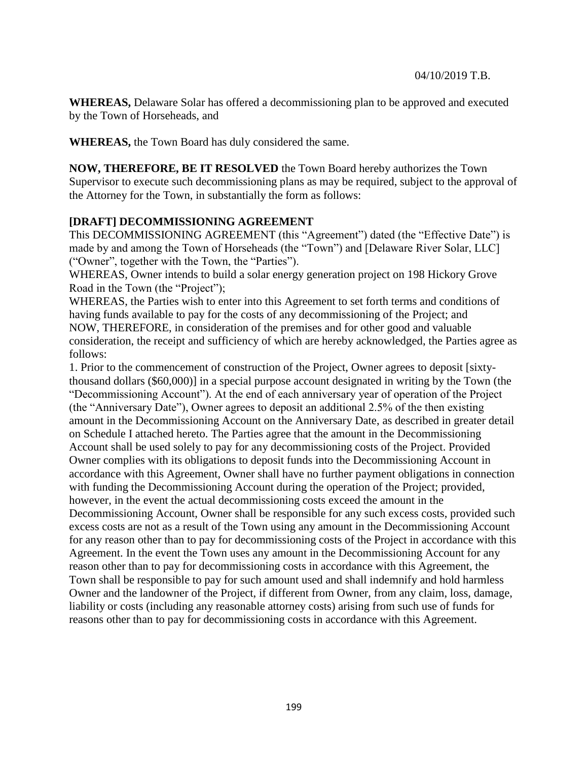**WHEREAS,** Delaware Solar has offered a decommissioning plan to be approved and executed by the Town of Horseheads, and

**WHEREAS,** the Town Board has duly considered the same.

**NOW, THEREFORE, BE IT RESOLVED** the Town Board hereby authorizes the Town Supervisor to execute such decommissioning plans as may be required, subject to the approval of the Attorney for the Town, in substantially the form as follows:

# **[DRAFT] DECOMMISSIONING AGREEMENT**

This DECOMMISSIONING AGREEMENT (this "Agreement") dated (the "Effective Date") is made by and among the Town of Horseheads (the "Town") and [Delaware River Solar, LLC] ("Owner", together with the Town, the "Parties").

WHEREAS, Owner intends to build a solar energy generation project on 198 Hickory Grove Road in the Town (the "Project");

WHEREAS, the Parties wish to enter into this Agreement to set forth terms and conditions of having funds available to pay for the costs of any decommissioning of the Project; and NOW, THEREFORE, in consideration of the premises and for other good and valuable consideration, the receipt and sufficiency of which are hereby acknowledged, the Parties agree as follows:

1. Prior to the commencement of construction of the Project, Owner agrees to deposit [sixtythousand dollars (\$60,000)] in a special purpose account designated in writing by the Town (the "Decommissioning Account"). At the end of each anniversary year of operation of the Project (the "Anniversary Date"), Owner agrees to deposit an additional 2.5% of the then existing amount in the Decommissioning Account on the Anniversary Date, as described in greater detail on Schedule I attached hereto. The Parties agree that the amount in the Decommissioning Account shall be used solely to pay for any decommissioning costs of the Project. Provided Owner complies with its obligations to deposit funds into the Decommissioning Account in accordance with this Agreement, Owner shall have no further payment obligations in connection with funding the Decommissioning Account during the operation of the Project; provided, however, in the event the actual decommissioning costs exceed the amount in the Decommissioning Account, Owner shall be responsible for any such excess costs, provided such excess costs are not as a result of the Town using any amount in the Decommissioning Account for any reason other than to pay for decommissioning costs of the Project in accordance with this Agreement. In the event the Town uses any amount in the Decommissioning Account for any reason other than to pay for decommissioning costs in accordance with this Agreement, the Town shall be responsible to pay for such amount used and shall indemnify and hold harmless Owner and the landowner of the Project, if different from Owner, from any claim, loss, damage, liability or costs (including any reasonable attorney costs) arising from such use of funds for reasons other than to pay for decommissioning costs in accordance with this Agreement.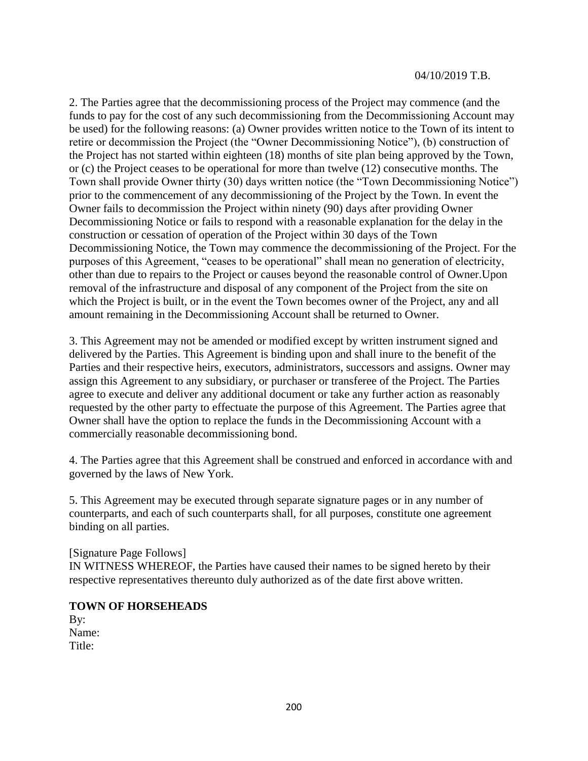#### 04/10/2019 T.B.

2. The Parties agree that the decommissioning process of the Project may commence (and the funds to pay for the cost of any such decommissioning from the Decommissioning Account may be used) for the following reasons: (a) Owner provides written notice to the Town of its intent to retire or decommission the Project (the "Owner Decommissioning Notice"), (b) construction of the Project has not started within eighteen (18) months of site plan being approved by the Town, or (c) the Project ceases to be operational for more than twelve (12) consecutive months. The Town shall provide Owner thirty (30) days written notice (the "Town Decommissioning Notice") prior to the commencement of any decommissioning of the Project by the Town. In event the Owner fails to decommission the Project within ninety (90) days after providing Owner Decommissioning Notice or fails to respond with a reasonable explanation for the delay in the construction or cessation of operation of the Project within 30 days of the Town Decommissioning Notice, the Town may commence the decommissioning of the Project. For the purposes of this Agreement, "ceases to be operational" shall mean no generation of electricity, other than due to repairs to the Project or causes beyond the reasonable control of Owner.Upon removal of the infrastructure and disposal of any component of the Project from the site on which the Project is built, or in the event the Town becomes owner of the Project, any and all amount remaining in the Decommissioning Account shall be returned to Owner.

3. This Agreement may not be amended or modified except by written instrument signed and delivered by the Parties. This Agreement is binding upon and shall inure to the benefit of the Parties and their respective heirs, executors, administrators, successors and assigns. Owner may assign this Agreement to any subsidiary, or purchaser or transferee of the Project. The Parties agree to execute and deliver any additional document or take any further action as reasonably requested by the other party to effectuate the purpose of this Agreement. The Parties agree that Owner shall have the option to replace the funds in the Decommissioning Account with a commercially reasonable decommissioning bond.

4. The Parties agree that this Agreement shall be construed and enforced in accordance with and governed by the laws of New York.

5. This Agreement may be executed through separate signature pages or in any number of counterparts, and each of such counterparts shall, for all purposes, constitute one agreement binding on all parties.

[Signature Page Follows]

IN WITNESS WHEREOF, the Parties have caused their names to be signed hereto by their respective representatives thereunto duly authorized as of the date first above written.

#### **TOWN OF HORSEHEADS**

By: Name: Title: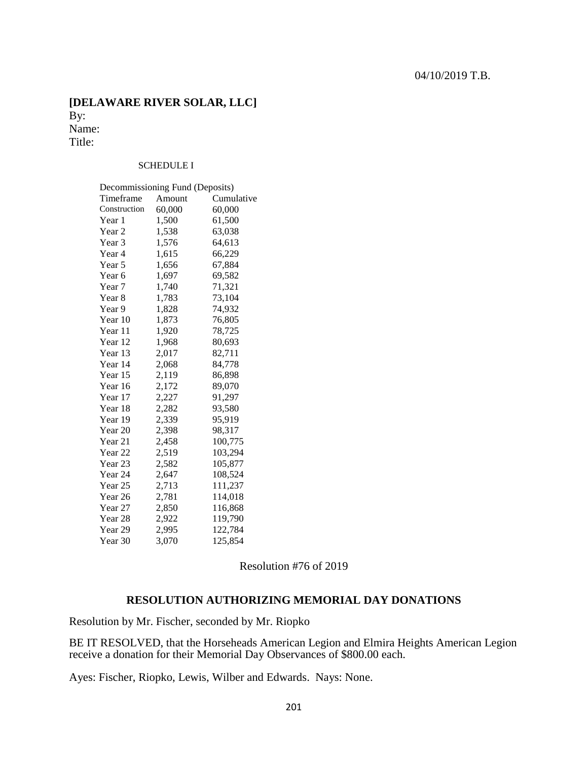## **[DELAWARE RIVER SOLAR, LLC]**  By: Name: Title:

#### SCHEDULE I

| Decommissioning Fund (Deposits) |        |            |  |  |
|---------------------------------|--------|------------|--|--|
| Timeframe                       | Amount | Cumulative |  |  |
| Construction                    | 60,000 | 60,000     |  |  |
| Year 1                          | 1,500  | 61,500     |  |  |
| Year 2                          | 1,538  | 63,038     |  |  |
| Year 3                          | 1,576  | 64,613     |  |  |
| Year 4                          | 1,615  | 66,229     |  |  |
| Year 5                          | 1,656  | 67,884     |  |  |
| Year <sub>6</sub>               | 1,697  | 69,582     |  |  |
| Year 7                          | 1,740  | 71,321     |  |  |
| Year 8                          | 1,783  | 73,104     |  |  |
| Year <sub>9</sub>               | 1,828  | 74,932     |  |  |
| Year 10                         | 1,873  | 76,805     |  |  |
| Year 11                         | 1,920  | 78,725     |  |  |
| Year 12                         | 1,968  | 80,693     |  |  |
| Year 13                         | 2,017  | 82,711     |  |  |
| Year 14                         | 2,068  | 84,778     |  |  |
| Year 15                         | 2,119  | 86,898     |  |  |
| Year 16                         | 2,172  | 89,070     |  |  |
| Year 17                         | 2,227  | 91,297     |  |  |
| Year 18                         | 2,282  | 93,580     |  |  |
| Year 19                         | 2,339  | 95,919     |  |  |
| Year 20                         | 2,398  | 98,317     |  |  |
| Year 21                         | 2,458  | 100,775    |  |  |
| Year <sub>22</sub>              | 2,519  | 103,294    |  |  |
| Year <sub>23</sub>              | 2,582  | 105,877    |  |  |
| Year 24                         | 2,647  | 108,524    |  |  |
| Year 25                         | 2,713  | 111,237    |  |  |
| Year 26                         | 2,781  | 114,018    |  |  |
| Year 27                         | 2,850  | 116,868    |  |  |
| Year 28                         | 2,922  | 119,790    |  |  |
| Year 29                         | 2,995  | 122,784    |  |  |
| Year 30                         | 3,070  | 125,854    |  |  |

Resolution #76 of 2019

### **RESOLUTION AUTHORIZING MEMORIAL DAY DONATIONS**

Resolution by Mr. Fischer, seconded by Mr. Riopko

BE IT RESOLVED, that the Horseheads American Legion and Elmira Heights American Legion receive a donation for their Memorial Day Observances of \$800.00 each.

Ayes: Fischer, Riopko, Lewis, Wilber and Edwards. Nays: None.